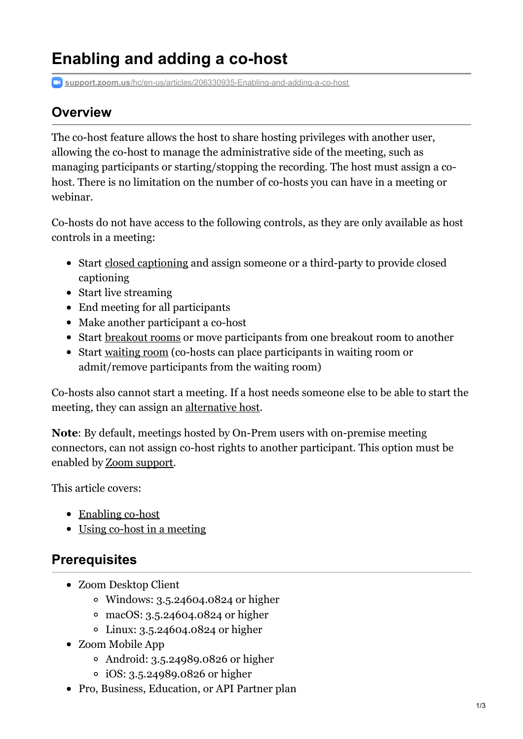# **Enabling and adding a co-host**

**support.zoom.us**[/hc/en-us/articles/206330935-Enabling-and-adding-a-co-host](https://support.zoom.us/hc/en-us/articles/206330935-Enabling-and-adding-a-co-host)

### **Overview**

The co-host feature allows the host to share hosting privileges with another user, allowing the co-host to manage the administrative side of the meeting, such as managing participants or starting/stopping the recording. The host must assign a cohost. There is no limitation on the number of co-hosts you can have in a meeting or webinar.

Co-hosts do not have access to the following controls, as they are only available as host controls in a meeting:

- Start closed [captioning](https://support.zoom.us/hc/en-us/articles/207279736-Getting-Started-with-Closed-Captioning) and assign someone or a third-party to provide closed captioning
- Start live streaming
- End meeting for all participants
- Make another participant a co-host
- Start [breakout](https://support.zoom.us/hc/en-us/articles/206476093) rooms or move participants from one breakout room to another
- Start [waiting](https://support.zoom.us/hc/en-us/articles/115000332726) room (co-hosts can place participants in waiting room or admit/remove participants from the waiting room)

Co-hosts also cannot start a meeting. If a host needs someone else to be able to start the meeting, they can assign an [alternative](https://support.zoom.us/hc/en-us/articles/208220166-Alternative-Host) host.

**Note**: By default, meetings hosted by On-Prem users with on-premise meeting connectors, can not assign co-host rights to another participant. This option must be enabled by Zoom [support](https://support.zoom.us/hc/en-us/articles/201362003).

This article covers:

- [Enabling](#page-1-0) co-host
- Using co-host in a [meeting](#page-2-0)

### **Prerequisites**

- Zoom Desktop Client
	- Windows: 3.5.24604.0824 or higher
	- macOS: 3.5.24604.0824 or higher
	- Linux: 3.5.24604.0824 or higher
- Zoom Mobile App
	- Android: 3.5.24989.0826 or higher
	- iOS: 3.5.24989.0826 or higher
- Pro, Business, Education, or API Partner plan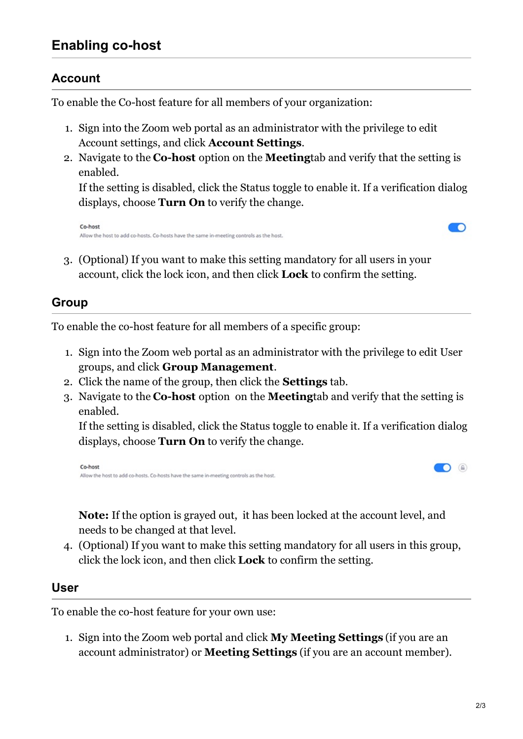### <span id="page-1-0"></span>**Enabling co-host**

### **Account**

To enable the Co-host feature for all members of your organization:

- 1. Sign into the Zoom web portal as an administrator with the privilege to edit Account settings, and click **Account Settings**.
- 2. Navigate to the **Co-host** option on the **Meeting**tab and verify that the setting is enabled.

If the setting is disabled, click the Status toggle to enable it. If a verification dialog displays, choose **Turn On** to verify the change.

```
Co-host
Allow the host to add co-hosts. Co-hosts have the same in-meeting controls as the host.
```


 $\bigcirc$   $\bigcirc$ 

3. (Optional) If you want to make this setting mandatory for all users in your account, click the lock icon, and then click **Lock** to confirm the setting.

### **Group**

To enable the co-host feature for all members of a specific group:

- 1. Sign into the Zoom web portal as an administrator with the privilege to edit User groups, and click **Group Management**.
- 2. Click the name of the group, then click the **Settings** tab.
- 3. Navigate to the **Co-host** option on the **Meeting**tab and verify that the setting is enabled.

If the setting is disabled, click the Status toggle to enable it. If a verification dialog displays, choose **Turn On** to verify the change.

```
Co-host
Allow the host to add co-hosts. Co-hosts have the same in-meeting controls as the host
```
**Note:** If the option is grayed out, it has been locked at the account level, and needs to be changed at that level.

4. (Optional) If you want to make this setting mandatory for all users in this group, click the lock icon, and then click **Lock** to confirm the setting.

#### **User**

To enable the co-host feature for your own use:

1. Sign into the Zoom web portal and click **My Meeting Settings** (if you are an account administrator) or **Meeting Settings** (if you are an account member).